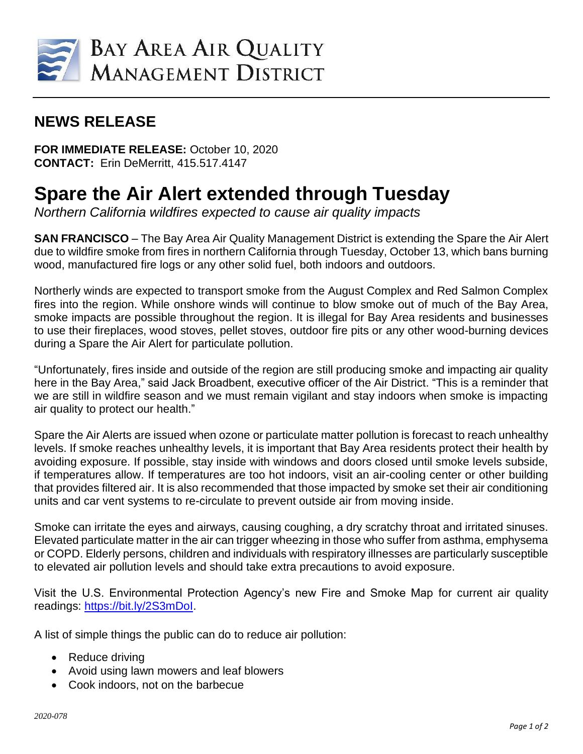

## **NEWS RELEASE**

**FOR IMMEDIATE RELEASE:** October 10, 2020 **CONTACT:** Erin DeMerritt, 415.517.4147

## **Spare the Air Alert extended through Tuesday**

*Northern California wildfires expected to cause air quality impacts*

**SAN FRANCISCO** – The Bay Area Air Quality Management District is extending the Spare the Air Alert due to wildfire smoke from fires in northern California through Tuesday, October 13, which bans burning wood, manufactured fire logs or any other solid fuel, both indoors and outdoors.

Northerly winds are expected to transport smoke from the August Complex and Red Salmon Complex fires into the region. While onshore winds will continue to blow smoke out of much of the Bay Area, smoke impacts are possible throughout the region. It is illegal for Bay Area residents and businesses to use their fireplaces, wood stoves, pellet stoves, outdoor fire pits or any other wood-burning devices during a Spare the Air Alert for particulate pollution.

"Unfortunately, fires inside and outside of the region are still producing smoke and impacting air quality here in the Bay Area," said Jack Broadbent, executive officer of the Air District. "This is a reminder that we are still in wildfire season and we must remain vigilant and stay indoors when smoke is impacting air quality to protect our health."

Spare the Air Alerts are issued when ozone or particulate matter pollution is forecast to reach unhealthy levels. If smoke reaches unhealthy levels, it is important that Bay Area residents protect their health by avoiding exposure. If possible, stay inside with windows and doors closed until smoke levels subside, if temperatures allow. If temperatures are too hot indoors, visit an air-cooling center or other building that provides filtered air. It is also recommended that those impacted by smoke set their air conditioning units and car vent systems to re-circulate to prevent outside air from moving inside.

Smoke can irritate the eyes and airways, causing coughing, a dry scratchy throat and irritated sinuses. Elevated particulate matter in the air can trigger wheezing in those who suffer from asthma, emphysema or COPD. Elderly persons, children and individuals with respiratory illnesses are particularly susceptible to elevated air pollution levels and should take extra precautions to avoid exposure.

Visit the U.S. Environmental Protection Agency's new Fire and Smoke Map for current air quality readings: https://bit.ly/2S3mDol.

A list of simple things the public can do to reduce air pollution:

- Reduce driving
- Avoid using lawn mowers and leaf blowers
- Cook indoors, not on the barbecue